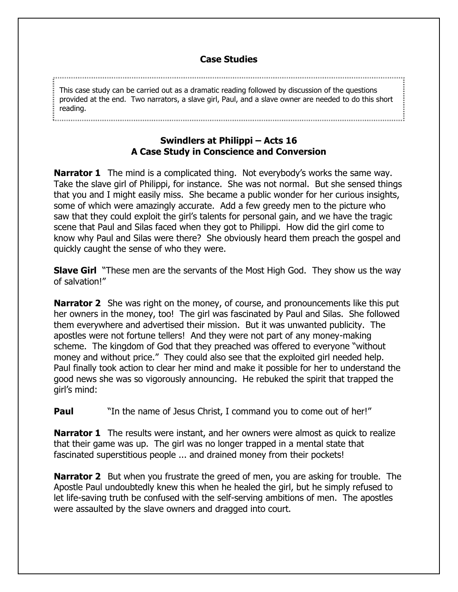## **Case Studies**

This case study can be carried out as a dramatic reading followed by discussion of the questions provided at the end. Two narrators, a slave girl, Paul, and a slave owner are needed to do this short reading.

## **Swindlers at Philippi – Acts 16 A Case Study in Conscience and Conversion**

**Narrator 1** The mind is a complicated thing. Not everybody's works the same way. Take the slave girl of Philippi, for instance. She was not normal. But she sensed things that you and I might easily miss. She became a public wonder for her curious insights, some of which were amazingly accurate. Add a few greedy men to the picture who saw that they could exploit the girl's talents for personal gain, and we have the tragic scene that Paul and Silas faced when they got to Philippi. How did the girl come to know why Paul and Silas were there? She obviously heard them preach the gospel and quickly caught the sense of who they were.

**Slave Girl** "These men are the servants of the Most High God. They show us the way of salvation!"

**Narrator 2** She was right on the money, of course, and pronouncements like this put her owners in the money, too! The girl was fascinated by Paul and Silas. She followed them everywhere and advertised their mission. But it was unwanted publicity. The apostles were not fortune tellers! And they were not part of any money-making scheme. The kingdom of God that they preached was offered to everyone "without money and without price." They could also see that the exploited girl needed help. Paul finally took action to clear her mind and make it possible for her to understand the good news she was so vigorously announcing. He rebuked the spirit that trapped the girl's mind:

**Paul** The name of Jesus Christ, I command you to come out of her!"

**Narrator 1** The results were instant, and her owners were almost as quick to realize that their game was up. The girl was no longer trapped in a mental state that fascinated superstitious people ... and drained money from their pockets!

**Narrator 2** But when you frustrate the greed of men, you are asking for trouble. The Apostle Paul undoubtedly knew this when he healed the girl, but he simply refused to let life-saving truth be confused with the self-serving ambitions of men. The apostles were assaulted by the slave owners and dragged into court.